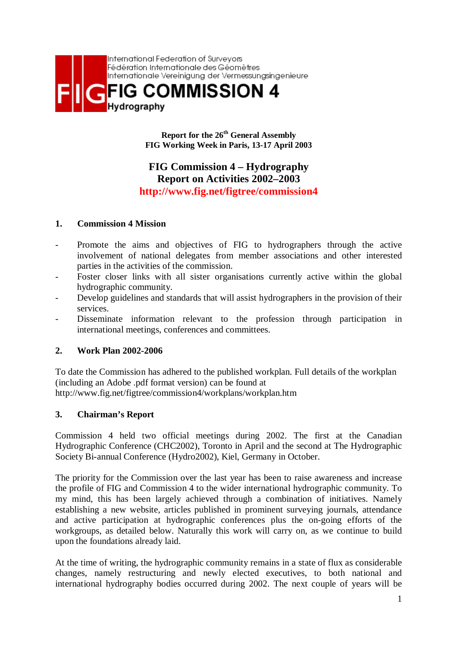

**Report for the 26th General Assembly FIG Working Week in Paris, 13-17 April 2003**

# **FIG Commission 4 – Hydrography Report on Activities 2002–2003 http://www.fig.net/figtree/commission4**

### **1. Commission 4 Mission**

- Promote the aims and objectives of FIG to hydrographers through the active involvement of national delegates from member associations and other interested parties in the activities of the commission.
- Foster closer links with all sister organisations currently active within the global hydrographic community.
- Develop guidelines and standards that will assist hydrographers in the provision of their services.
- Disseminate information relevant to the profession through participation in international meetings, conferences and committees.

### **2. Work Plan 2002-2006**

To date the Commission has adhered to the published workplan. Full details of the workplan (including an Adobe .pdf format version) can be found at http://www.fig.net/figtree/commission4/workplans/workplan.htm

#### **3. Chairman's Report**

Commission 4 held two official meetings during 2002. The first at the Canadian Hydrographic Conference (CHC2002), Toronto in April and the second at The Hydrographic Society Bi-annual Conference (Hydro2002), Kiel, Germany in October.

The priority for the Commission over the last year has been to raise awareness and increase the profile of FIG and Commission 4 to the wider international hydrographic community. To my mind, this has been largely achieved through a combination of initiatives. Namely establishing a new website, articles published in prominent surveying journals, attendance and active participation at hydrographic conferences plus the on-going efforts of the workgroups, as detailed below. Naturally this work will carry on, as we continue to build upon the foundations already laid.

At the time of writing, the hydrographic community remains in a state of flux as considerable changes, namely restructuring and newly elected executives, to both national and international hydrography bodies occurred during 2002. The next couple of years will be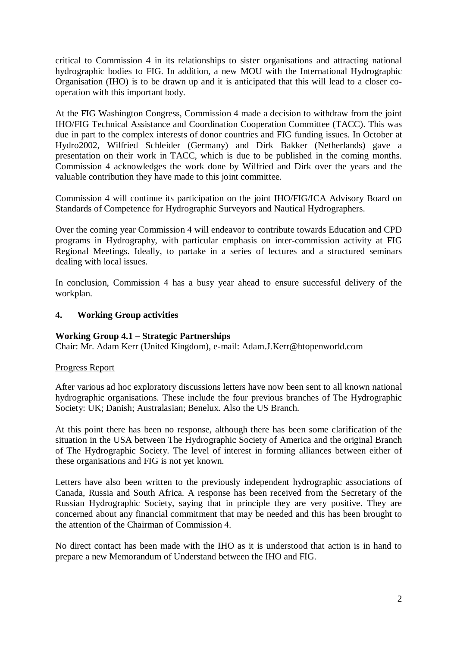critical to Commission 4 in its relationships to sister organisations and attracting national hydrographic bodies to FIG. In addition, a new MOU with the International Hydrographic Organisation (IHO) is to be drawn up and it is anticipated that this will lead to a closer cooperation with this important body.

At the FIG Washington Congress, Commission 4 made a decision to withdraw from the joint IHO/FIG Technical Assistance and Coordination Cooperation Committee (TACC). This was due in part to the complex interests of donor countries and FIG funding issues. In October at Hydro2002, Wilfried Schleider (Germany) and Dirk Bakker (Netherlands) gave a presentation on their work in TACC, which is due to be published in the coming months. Commission 4 acknowledges the work done by Wilfried and Dirk over the years and the valuable contribution they have made to this joint committee.

Commission 4 will continue its participation on the joint IHO/FIG/ICA Advisory Board on Standards of Competence for Hydrographic Surveyors and Nautical Hydrographers.

Over the coming year Commission 4 will endeavor to contribute towards Education and CPD programs in Hydrography, with particular emphasis on inter-commission activity at FIG Regional Meetings. Ideally, to partake in a series of lectures and a structured seminars dealing with local issues.

In conclusion, Commission 4 has a busy year ahead to ensure successful delivery of the workplan.

### **4. Working Group activities**

#### **Working Group 4.1 – Strategic Partnerships**

Chair: Mr. Adam Kerr (United Kingdom), e-mail: Adam.J.Kerr@btopenworld.com

#### Progress Report

After various ad hoc exploratory discussions letters have now been sent to all known national hydrographic organisations. These include the four previous branches of The Hydrographic Society: UK; Danish; Australasian; Benelux. Also the US Branch.

At this point there has been no response, although there has been some clarification of the situation in the USA between The Hydrographic Society of America and the original Branch of The Hydrographic Society. The level of interest in forming alliances between either of these organisations and FIG is not yet known.

Letters have also been written to the previously independent hydrographic associations of Canada, Russia and South Africa. A response has been received from the Secretary of the Russian Hydrographic Society, saying that in principle they are very positive. They are concerned about any financial commitment that may be needed and this has been brought to the attention of the Chairman of Commission 4.

No direct contact has been made with the IHO as it is understood that action is in hand to prepare a new Memorandum of Understand between the IHO and FIG.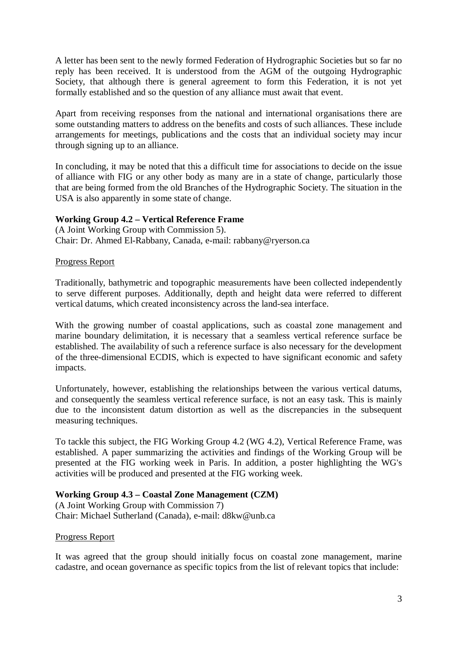A letter has been sent to the newly formed Federation of Hydrographic Societies but so far no reply has been received. It is understood from the AGM of the outgoing Hydrographic Society, that although there is general agreement to form this Federation, it is not yet formally established and so the question of any alliance must await that event.

Apart from receiving responses from the national and international organisations there are some outstanding matters to address on the benefits and costs of such alliances. These include arrangements for meetings, publications and the costs that an individual society may incur through signing up to an alliance.

In concluding, it may be noted that this a difficult time for associations to decide on the issue of alliance with FIG or any other body as many are in a state of change, particularly those that are being formed from the old Branches of the Hydrographic Society. The situation in the USA is also apparently in some state of change.

### **Working Group 4.2 – Vertical Reference Frame**

(A Joint Working Group with Commission 5). Chair: Dr. Ahmed El-Rabbany, Canada, e-mail: rabbany@ryerson.ca

#### Progress Report

Traditionally, bathymetric and topographic measurements have been collected independently to serve different purposes. Additionally, depth and height data were referred to different vertical datums, which created inconsistency across the land-sea interface.

With the growing number of coastal applications, such as coastal zone management and marine boundary delimitation, it is necessary that a seamless vertical reference surface be established. The availability of such a reference surface is also necessary for the development of the three-dimensional ECDIS, which is expected to have significant economic and safety impacts.

Unfortunately, however, establishing the relationships between the various vertical datums, and consequently the seamless vertical reference surface, is not an easy task. This is mainly due to the inconsistent datum distortion as well as the discrepancies in the subsequent measuring techniques.

To tackle this subject, the FIG Working Group 4.2 (WG 4.2), Vertical Reference Frame, was established. A paper summarizing the activities and findings of the Working Group will be presented at the FIG working week in Paris. In addition, a poster highlighting the WG's activities will be produced and presented at the FIG working week.

### **Working Group 4.3 – Coastal Zone Management (CZM)**

(A Joint Working Group with Commission 7) Chair: Michael Sutherland (Canada), e-mail: d8kw@unb.ca

#### Progress Report

It was agreed that the group should initially focus on coastal zone management, marine cadastre, and ocean governance as specific topics from the list of relevant topics that include: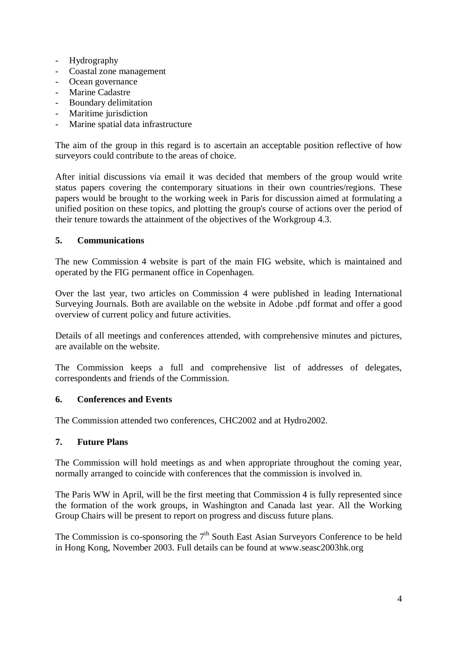- Hydrography
- Coastal zone management
- Ocean governance
- Marine Cadastre
- Boundary delimitation
- Maritime jurisdiction
- Marine spatial data infrastructure

The aim of the group in this regard is to ascertain an acceptable position reflective of how surveyors could contribute to the areas of choice.

After initial discussions via email it was decided that members of the group would write status papers covering the contemporary situations in their own countries/regions. These papers would be brought to the working week in Paris for discussion aimed at formulating a unified position on these topics, and plotting the group's course of actions over the period of their tenure towards the attainment of the objectives of the Workgroup 4.3.

## **5. Communications**

The new Commission 4 website is part of the main FIG website, which is maintained and operated by the FIG permanent office in Copenhagen.

Over the last year, two articles on Commission 4 were published in leading International Surveying Journals. Both are available on the website in Adobe .pdf format and offer a good overview of current policy and future activities.

Details of all meetings and conferences attended, with comprehensive minutes and pictures, are available on the website.

The Commission keeps a full and comprehensive list of addresses of delegates, correspondents and friends of the Commission.

### **6. Conferences and Events**

The Commission attended two conferences, CHC2002 and at Hydro2002.

### **7. Future Plans**

The Commission will hold meetings as and when appropriate throughout the coming year, normally arranged to coincide with conferences that the commission is involved in.

The Paris WW in April, will be the first meeting that Commission 4 is fully represented since the formation of the work groups, in Washington and Canada last year. All the Working Group Chairs will be present to report on progress and discuss future plans.

The Commission is co-sponsoring the  $7<sup>th</sup>$  South East Asian Surveyors Conference to be held in Hong Kong, November 2003. Full details can be found at www.seasc2003hk.org